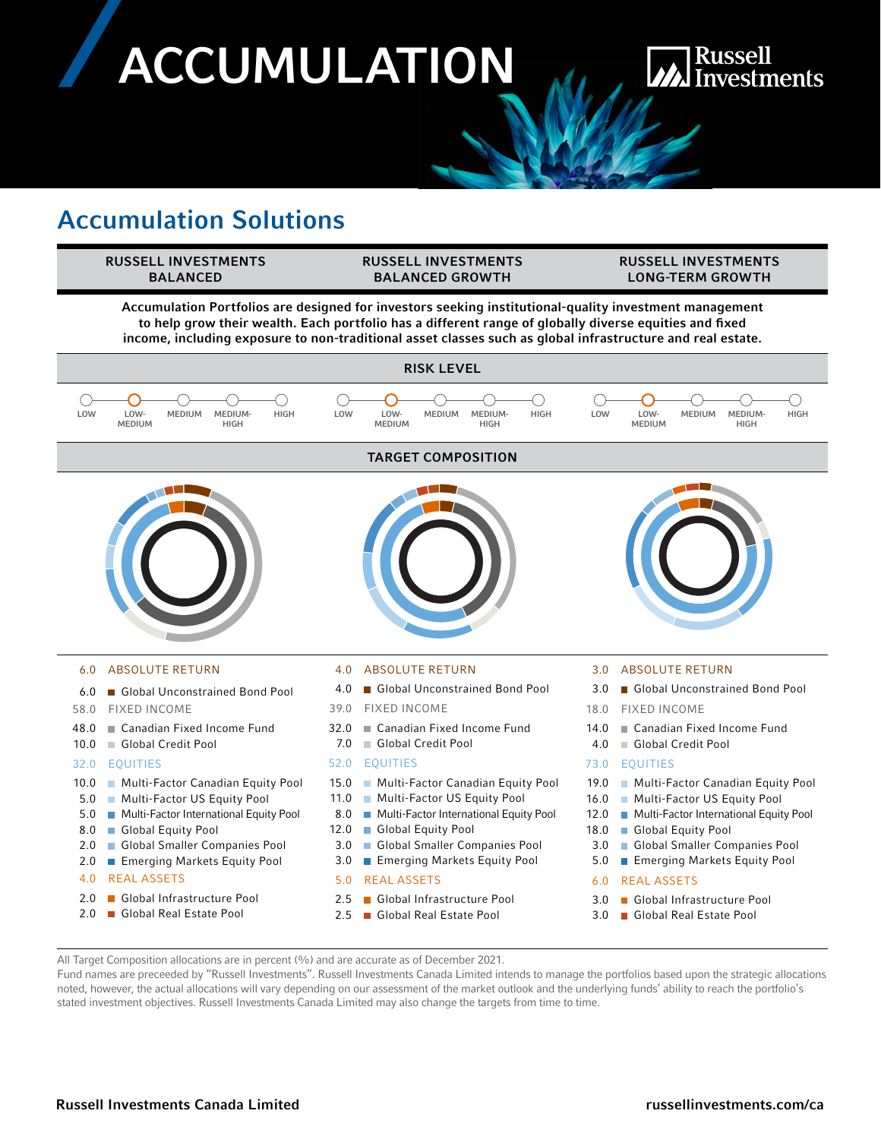# **ACCUMULATION**

## **Russell Investments**

## Accumulation Solutions



- 48.0 Canadian Fixed Income Fund
- 10.0 Global Credit Pool

#### 32.0 EQUITIES

- 10.0 Multi-Factor Canadian Equity Pool
- 5.0 Multi-Factor US Equity Pool
- 5.0 Multi-Factor International Equity Pool
- 8.0 Global Equity Pool
- 2.0 Global Smaller Companies Pool
- 2.0 Emerging Markets Equity Pool
- 4.0 REAL ASSETS
- 2.0 Global Infrastructure Pool
- 2.0 Global Real Estate Pool
- 32.0 Canadian Fixed Income Fund
- 7.0 Global Credit Pool

#### 52.0 EQUITIES

- 15.0 Multi-Factor Canadian Equity Pool
- 11.0 Multi-Factor US Equity Pool
- 8.0 Multi-Factor International Equity Pool
- 12.0 Global Equity Pool
- 3.0 Global Smaller Companies Pool
- 3.0 Emerging Markets Equity Pool

#### 5.0 REAL ASSETS

- 2.5 Global Infrastructure Pool
- 2.5 Global Real Estate Pool
- 14.0 Canadian Fixed Income Fund
- 4.0 Global Credit Pool

#### 73.0 EQUITIES

- 19.0 Multi-Factor Canadian Equity Pool
- 16.0 Multi-Factor US Equity Pool
- 12.0 Multi-Factor International Equity Pool
- 18.0 Global Equity Pool
- 3.0 Global Smaller Companies Pool
- 5.0 Emerging Markets Equity Pool

#### 6.0 REAL ASSETS

- 3.0 Global Infrastructure Pool
- 3.0 Global Real Estate Pool

All Target Composition allocations are in percent (%) and are accurate as of December 2021.

Fund names are preceeded by "Russell Investments". Russell Investments Canada Limited intends to manage the portfolios based upon the strategic allocations noted, however, the actual allocations will vary depending on our assessment of the market outlook and the underlying funds' ability to reach the portfolio's stated investment objectives. Russell Investments Canada Limited may also change the targets from time to time.